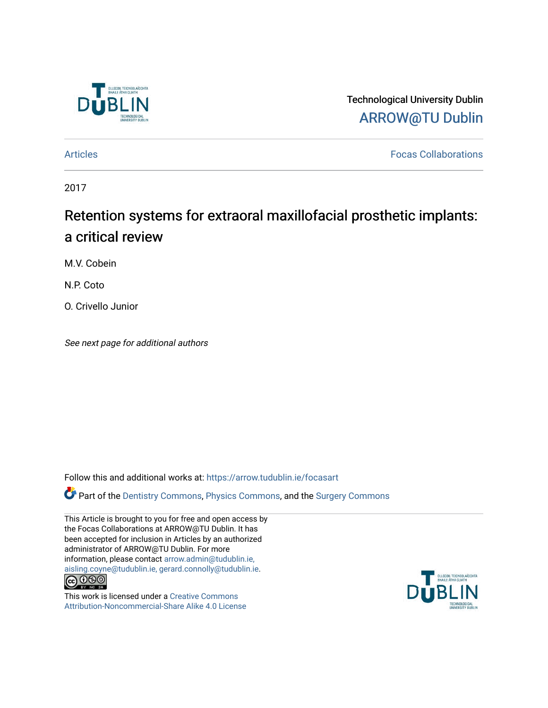

Technological University Dublin [ARROW@TU Dublin](https://arrow.tudublin.ie/) 

[Articles](https://arrow.tudublin.ie/focasart) [Focas Collaborations](https://arrow.tudublin.ie/focas) 

2017

# Retention systems for extraoral maxillofacial prosthetic implants: a critical review

M.V. Cobein

N.P. Coto

O. Crivello Junior

See next page for additional authors

Follow this and additional works at: [https://arrow.tudublin.ie/focasart](https://arrow.tudublin.ie/focasart?utm_source=arrow.tudublin.ie%2Ffocasart%2F3&utm_medium=PDF&utm_campaign=PDFCoverPages)

Part of the [Dentistry Commons,](http://network.bepress.com/hgg/discipline/651?utm_source=arrow.tudublin.ie%2Ffocasart%2F3&utm_medium=PDF&utm_campaign=PDFCoverPages) [Physics Commons](http://network.bepress.com/hgg/discipline/193?utm_source=arrow.tudublin.ie%2Ffocasart%2F3&utm_medium=PDF&utm_campaign=PDFCoverPages), and the [Surgery Commons](http://network.bepress.com/hgg/discipline/706?utm_source=arrow.tudublin.ie%2Ffocasart%2F3&utm_medium=PDF&utm_campaign=PDFCoverPages) 

This Article is brought to you for free and open access by the Focas Collaborations at ARROW@TU Dublin. It has been accepted for inclusion in Articles by an authorized administrator of ARROW@TU Dublin. For more information, please contact [arrow.admin@tudublin.ie,](mailto:arrow.admin@tudublin.ie,%20aisling.coyne@tudublin.ie,%20gerard.connolly@tudublin.ie)  [aisling.coyne@tudublin.ie, gerard.connolly@tudublin.ie](mailto:arrow.admin@tudublin.ie,%20aisling.coyne@tudublin.ie,%20gerard.connolly@tudublin.ie).  $\bigodot$   $\bigodot$   $\bigodot$ 

This work is licensed under a [Creative Commons](http://creativecommons.org/licenses/by-nc-sa/4.0/) [Attribution-Noncommercial-Share Alike 4.0 License](http://creativecommons.org/licenses/by-nc-sa/4.0/)

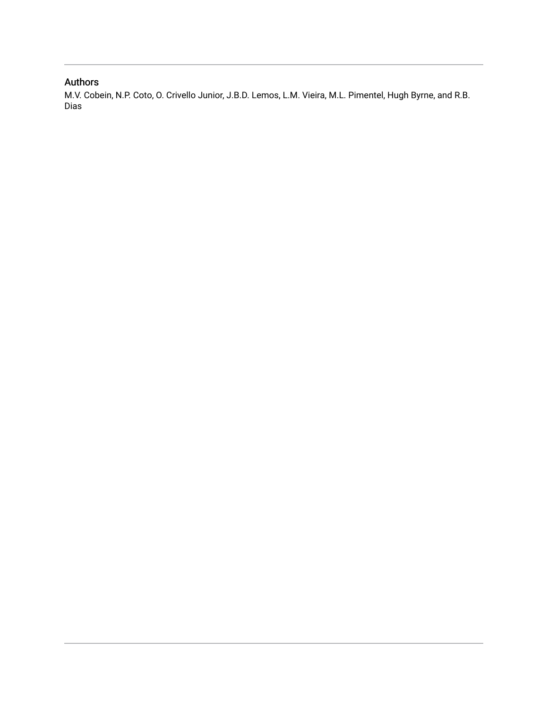## Authors

M.V. Cobein, N.P. Coto, O. Crivello Junior, J.B.D. Lemos, L.M. Vieira, M.L. Pimentel, Hugh Byrne, and R.B. Dias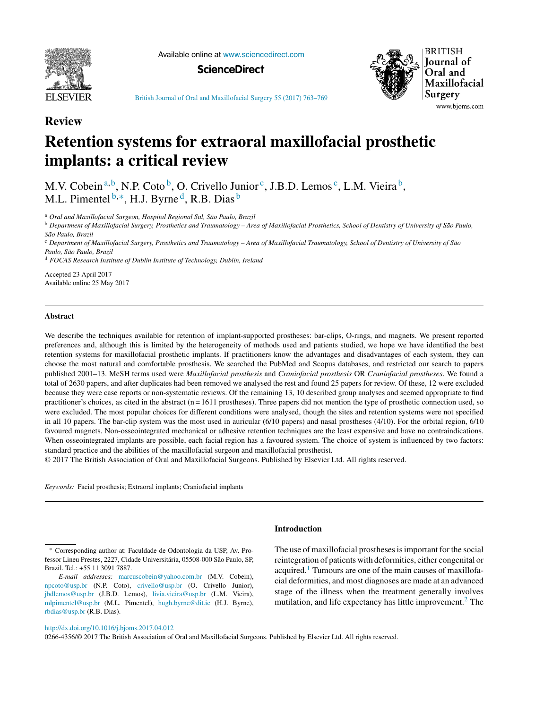

Available online at [www.sciencedirect.com](http://www.sciencedirect.com/science/journal/02664356)

**ScienceDirect**



British Journal of Oral and [Maxillofacial](dx.doi.org/10.1016/j.bjoms.2017.04.012) Surgery 55 (2017) 763–769

### **Review**

# **Retention systems for extraoral maxillofacial prosthetic implants: a critical review**

M.V. Cobein<sup>a,b</sup>, N.P. Coto<sup>b</sup>, O. Crivello Junior<sup>c</sup>, J.B.D. Lemos<sup>c</sup>, L.M. Vieira<sup>b</sup>, M.L. Pimentel  $b, *,$  H.J. Byrne<sup>d</sup>, R.B. Dias  $b$ 

<sup>a</sup> *Oral and Maxillofacial Surgeon, Hospital Regional Sul, São Paulo, Brazil*

<sup>b</sup> Department of Maxillofacial Surgery, Prosthetics and Traumatology - Area of Maxillofacial Prosthetics, School of Dentistry of University of São Paulo, *São Paulo, Brazil*

<sup>c</sup> Department of Maxillofacial Surgery, Prosthetics and Traumatology - Area of Maxillofacial Traumatology, School of Dentistry of University of São *Paulo, São Paulo, Brazil*

<sup>d</sup> *FOCAS Research Institute of Dublin Institute of Technology, Dublin, Ireland*

Accepted 23 April 2017 Available online 25 May 2017

#### **Abstract**

We describe the techniques available for retention of implant-supported prostheses: bar-clips, O-rings, and magnets. We present reported preferences and, although this is limited by the heterogeneity of methods used and patients studied, we hope we have identified the best retention systems for maxillofacial prosthetic implants. If practitioners know the advantages and disadvantages of each system, they can choose the most natural and comfortable prosthesis. We searched the PubMed and Scopus databases, and restricted our search to papers published 2001–13. MeSH terms used were *Maxillofacial prosthesis* and *Craniofacial prosthesis* OR *Craniofacial prostheses*. We found a total of 2630 papers, and after duplicates had been removed we analysed the rest and found 25 papers for review. Of these, 12 were excluded because they were case reports or non-systematic reviews. Of the remaining 13, 10 described group analyses and seemed appropriate to find practitioner's choices, as cited in the abstract ( $n = 1611$  prostheses). Three papers did not mention the type of prosthetic connection used, so were excluded. The most popular choices for different conditions were analysed, though the sites and retention systems were not specified in all 10 papers. The bar-clip system was the most used in auricular (6/10 papers) and nasal prostheses (4/10). For the orbital region, 6/10 favoured magnets. Non-osseointegrated mechanical or adhesive retention techniques are the least expensive and have no contraindications. When osseointegrated implants are possible, each facial region has a favoured system. The choice of system is influenced by two factors: standard practice and the abilities of the maxillofacial surgeon and maxillofacial prosthetist.

© 2017 The British Association of Oral and Maxillofacial Surgeons. Published by Elsevier Ltd. All rights reserved.

*Keywords:* Facial prosthesis; Extraoral implants; Craniofacial implants

### **Introduction**

The use of maxillofacial prostheses is important for the social reintegration of patients with deformities, either congenital or acquired.<sup>1</sup> Tumours are one of the main causes of maxillofacial deformities, and most diagnoses are made at an advanced stage of the illness when the treatment generally involves mutilation, and life expectancy has little improvement. $2$  The

[http://dx.doi.org/10.1016/j.bjoms.2017.04.012](dx.doi.org/10.1016/j.bjoms.2017.04.012)

0266-4356/© 2017 The British Association of Oral and Maxillofacial Surgeons. Published by Elsevier Ltd. All rights reserved.

<sup>∗</sup> Corresponding author at: Faculdade de Odontologia da USP, Av. Professor Lineu Prestes, 2227, Cidade Universitária, 05508-000 São Paulo, SP, Brazil. Tel.: +55 11 3091 7887.

*E-mail addresses:* [marcuscobein@yahoo.com.br](mailto:marcuscobein@yahoo.com.br) (M.V. Cobein), [npcoto@usp.br](mailto:npcoto@usp.br) (N.P. Coto), [crivello@usp.br](mailto:crivello@usp.br) (O. Crivello Junior), [jbdlemos@usp.br](mailto:jbdlemos@usp.br) (J.B.D. Lemos), [livia.vieira@usp.br](mailto:livia.vieira@usp.br) (L.M. Vieira), [mlpimentel@usp.br](mailto:mlpimentel@usp.br) (M.L. Pimentel), [hugh.byrne@dit.ie](mailto:hugh.byrne@dit.ie) (H.J. Byrne), [rbdias@usp.br](mailto:rbdias@usp.br) (R.B. Dias).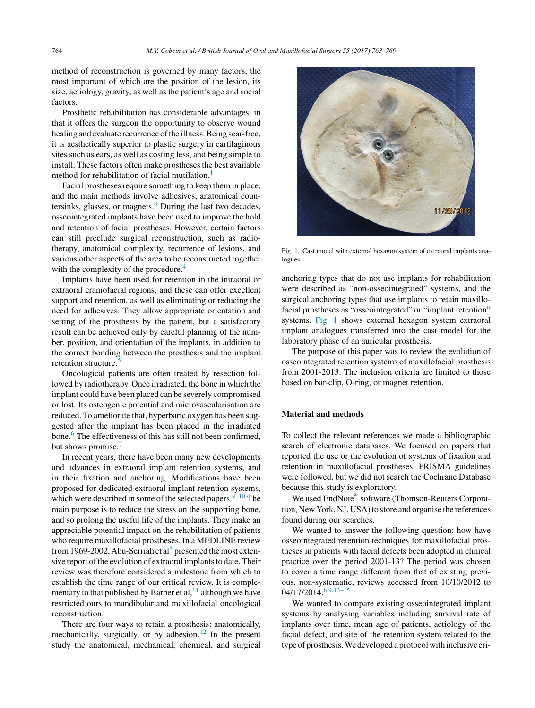method of reconstruction is governed by many factors, the most important of which are the position of the lesion, its size, aetiology, gravity, as well as the patient's age and social factors.

Prosthetic rehabilitation has considerable advantages, in that it offers the surgeon the opportunity to observe wound healing and evaluate recurrence of the illness. Being scar-free, it is aesthetically superior to plastic surgery in cartilaginous sites such as ears, as well as costing less, and being simple to install. These factors often make prostheses the best available method for rehabilitation of facial mutilation.<sup>[1](#page-8-0)</sup>

Facial prostheses require something to keep them in place, and the main methods involve adhesives, anatomical countersinks, glasses, or magnets. $3$  During the last two decades, osseointegrated implants have been used to improve the hold and retention of facial prostheses. However, certain factors can still preclude surgical reconstruction, such as radiotherapy, anatomical complexity, recurrence of lesions, and various other aspects of the area to be reconstructed together with the complexity of the procedure.<sup>[4](#page-8-0)</sup>

Implants have been used for retention in the intraoral or extraoral craniofacial regions, and these can offer excellent support and retention, as well as eliminating or reducing the need for adhesives. They allow appropriate orientation and setting of the prosthesis by the patient, but a satisfactory result can be achieved only by careful planning of the number, position, and orientation of the implants, in addition to the correct bonding between the prosthesis and the implant retention structure.

Oncological patients are often treated by resection followed by radiotherapy. Once irradiated, the bone in which the implant could have been placed can be severely compromised or lost. Its osteogenic potential and microvascularisation are reduced. To ameliorate that, hyperbaric oxygen has been suggested after the implant has been placed in the irradiated bone.<sup>[6](#page-8-0)</sup> The effectiveness of this has still not been confirmed, but shows promise.<sup>[7](#page-8-0)</sup>

In recent years, there have been many new developments and advances in extraoral implant retention systems, and in their fixation and anchoring. Modifications have been proposed for dedicated extraoral implant retention systems, which were described in some of the selected papers.  $8-10$  The main purpose is to reduce the stress on the supporting bone, and so prolong the useful life of the implants. They make an appreciable potential impact on the rehabilitation of patients who require maxillofacial prostheses. In a MEDLINE review from 1969-2002, Abu-Serriah et al<sup>[8](#page-8-0)</sup> presented the most extensive report of the evolution of extraoral implants to date. Their review was therefore considered a milestone from which to establish the time range of our critical review. It is complementary to that published by Barber et al,  $11$  although we have restricted ours to mandibular and maxillofacial oncological reconstruction.

There are four ways to retain a prosthesis: anatomically, mechanically, surgically, or by adhesion.<sup>[12](#page-8-0)</sup> In the present study the anatomical, mechanical, chemical, and surgical



Fig. 1. Cast model with external hexagon system of extraoral implants analogues

anchoring types that do not use implants for rehabilitation were described as "non-osseointegrated" systems, and the surgical anchoring types that use implants to retain maxillofacial prostheses as "osseointegrated" or "implant retention" systems. Fig. 1 shows external hexagon system extraoral implant analogues transferred into the cast model for the laboratory phase of an auricular prosthesis.

The purpose of this paper was to review the evolution of osseointegrated retention systems of maxillofacial prosthesis from 2001-2013. The inclusion criteria are limited to those based on bar-clip, O-ring, or magnet retention.

#### **Material and methods**

To collect the relevant references we made a bibliographic search of electronic databases. We focused on papers that reported the use or the evolution of systems of fixation and retention in maxillofacial prostheses. PRISMA guidelines were followed, but we did not search the Cochrane Database because this study is exploratory.

We used EndNote® software (Thomson-Reuters Corporation, New York, NJ, USA) to store and organise the references found during our searches.

We wanted to answer the following question: how have osseointegrated retention techniques for maxillofacial prostheses in patients with facial defects been adopted in clinical practice over the period 2001-13? The period was chosen to cover a time range different from that of existing previous, non-systematic, reviews accessed from 10/10/2012 to 04/17/2014.[8,9,13–15](#page-8-0)

We wanted to compare existing osseointegrated implant systems by analysing variables including survival rate of implants over time, mean age of patients, aetiology of the facial defect, and site of the retention system related to the type of prosthesis.We developed a protocol with inclusive cri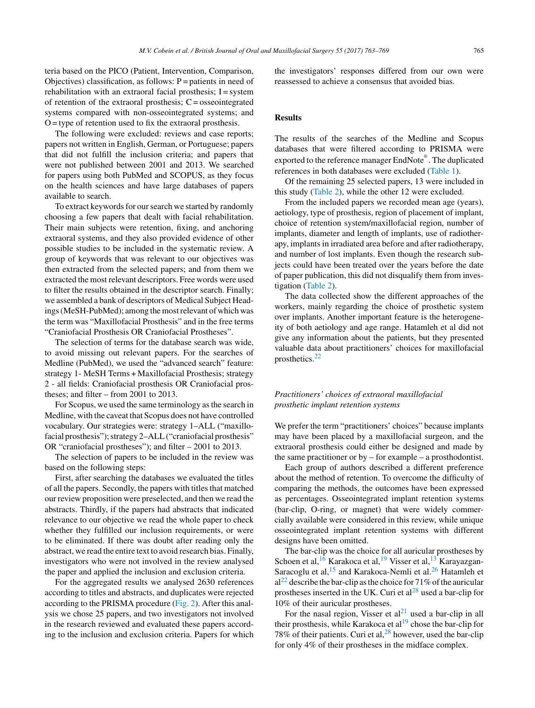teria based on the PICO (Patient, Intervention, Comparison, Objectives) classification, as follows:  $P =$  patients in need of rehabilitation with an extraoral facial prosthesis;  $I =$  system of retention of the extraoral prosthesis;  $C =$  osseointegrated systems compared with non-osseointegrated systems; and  $O =$  type of retention used to fix the extraoral prosthesis.

The following were excluded: reviews and case reports; papers not written in English, German, or Portuguese; papers that did not fulfill the inclusion criteria; and papers that were not published between 2001 and 2013. We searched for papers using both PubMed and SCOPUS, as they focus on the health sciences and have large databases of papers available to search.

To extract keywords for our search we started by randomly choosing a few papers that dealt with facial rehabilitation. Their main subjects were retention, fixing, and anchoring extraoral systems, and they also provided evidence of other possible studies to be included in the systematic review. A group of keywords that was relevant to our objectives was then extracted from the selected papers; and from them we extracted the most relevant descriptors. Free words were used to filter the results obtained in the descriptor search. Finally; we assembled a bank of descriptors of Medical Subject Headings (MeSH-PubMed); among the most relevant of which was the term was "Maxillofacial Prosthesis" and in the free terms "Craniofacial Prosthesis OR Craniofacial Prostheses".

The selection of terms for the database search was wide, to avoid missing out relevant papers. For the searches of Medline (PubMed), we used the "advanced search" feature: strategy 1- MeSH Terms + Maxillofacial Prosthesis; strategy 2 - all fields: Craniofacial prosthesis OR Craniofacial prostheses; and filter – from 2001 to 2013.

For Scopus, we used the same terminology asthe search in Medline, with the caveat that Scopus does not have controlled vocabulary. Our strategies were: strategy 1–ALL ("maxillofacial prosthesis"); strategy 2-ALL ("craniofacial prosthesis" OR "craniofacial prostheses"); and filter – 2001 to 2013.

The selection of papers to be included in the review was based on the following steps:

First, after searching the databases we evaluated the titles of all the papers. Secondly, the papers with titles that matched our review proposition were preselected, and then we read the abstracts. Thirdly, if the papers had abstracts that indicated relevance to our objective we read the whole paper to check whether they fulfilled our inclusion requirements, or were to be eliminated. If there was doubt after reading only the abstract, we read the entire text to avoid research bias. Finally, investigators who were not involved in the review analysed the paper and applied the inclusion and exclusion criteria.

For the aggregated results we analysed 2630 references according to titles and abstracts, and duplicates were rejected according to the PRISMA procedure ([Fig.](#page-5-0) 2). After this analysis we chose 25 papers, and two investigators not involved in the research reviewed and evaluated these papers according to the inclusion and exclusion criteria. Papers for which the investigators' responses differed from our own were reassessed to achieve a consensus that avoided bias.

#### **Results**

The results of the searches of the Medline and Scopus databases that were filtered according to PRISMA were exported to the reference manager EndNote®. The duplicated references in both databases were excluded ([Table](#page-5-0) 1).

Of the remaining 25 selected papers, 13 were included in this study ([Table](#page-6-0) 2), while the other 12 were excluded.

From the included papers we recorded mean age (years), aetiology, type of prosthesis, region of placement of implant, choice of retention system/maxillofacial region, number of implants, diameter and length of implants, use of radiotherapy, implants in irradiated area before and after radiotherapy, and number of lost implants. Even though the research subjects could have been treated over the years before the date of paper publication, this did not disqualify them from investigation ([Table](#page-6-0) 2).

The data collected show the different approaches of the workers, mainly regarding the choice of prosthetic system over implants. Another important feature is the heterogeneity of both aetiology and age range. Hatamleh et al did not give any information about the patients, but they presented valuable data about practitioners' choices for maxillofacial prosthetics[.22](#page-8-0)

#### *Practitioners' choices of extraoral maxillofacial prosthetic implant retention systems*

We prefer the term "practitioners' choices" because implants may have been placed by a maxillofacial surgeon, and the extraoral prosthesis could either be designed and made by the same practitioner or by – for example – a prosthodontist.

Each group of authors described a different preference about the method of retention. To overcome the difficulty of comparing the methods, the outcomes have been expressed as percentages. Osseointegrated implant retention systems (bar-clip, O-ring, or magnet) that were widely commercially available were considered in this review, while unique osseointegrated implant retention systems with different designs have been omitted.

The bar-clip was the choice for all auricular prostheses by Schoen et al,  $16$  Karakoca et al,  $19$  Visser et al,  $13$  Karayazgan-Saracoglu et al,  $15$  and Karakoca-Nemli et al.  $26$  Hatamleh et  $al^{22}$  $al^{22}$  $al^{22}$  describe the bar-clip as the choice for 71% of the auricular prostheses inserted in the UK. Curi et  $al^{28}$  $al^{28}$  $al^{28}$  used a bar-clip for 10% of their auricular prostheses.

For the nasal region, Visser et  $al<sup>21</sup>$  $al<sup>21</sup>$  $al<sup>21</sup>$  used a bar-clip in all their prosthesis, while Karakoca et  $al<sup>19</sup>$  $al<sup>19</sup>$  $al<sup>19</sup>$  chose the bar-clip for 78% of their patients. Curi et al,  $^{28}$  $^{28}$  $^{28}$  however, used the bar-clip for only 4% of their prostheses in the midface complex.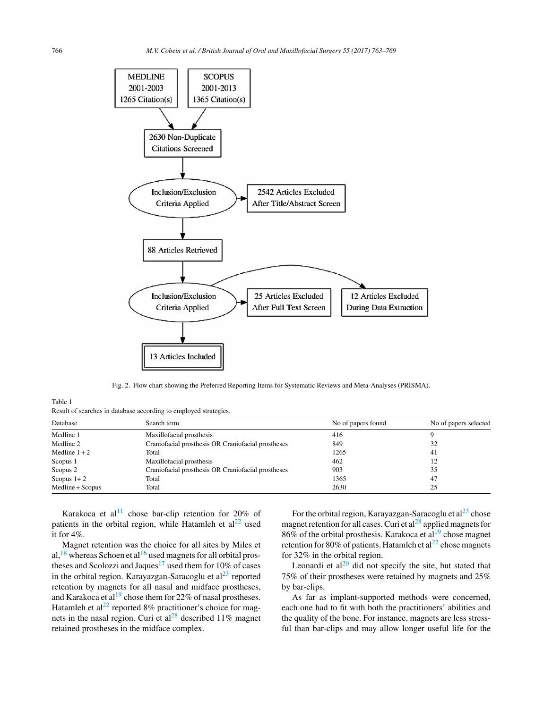<span id="page-5-0"></span>

Fig. 2. Flow chart showing the Preferred Reporting Items for Systematic Reviews and Meta-Analyses (PRISMA).

Table 1

Result of searches in database according to employed strategies.

| Database         | Search term                                        | No of papers found | No of papers selected |  |
|------------------|----------------------------------------------------|--------------------|-----------------------|--|
| Medline 1        | Maxillofacial prosthesis                           | 416                |                       |  |
| Medline 2        | Craniofacial prosthesis OR Craniofacial prostheses | 849                | 32                    |  |
| Medline $1+2$    | Total                                              | 1265               | -41                   |  |
| Scopus 1         | Maxillofacial prosthesis                           | 462                | 12                    |  |
| Scopus 2         | Craniofacial prosthesis OR Craniofacial prostheses | 903                | 35                    |  |
| Scopus $1+2$     | Total                                              | 1365               | 47                    |  |
| Medline + Scopus | Total                                              | 2630               | 25                    |  |

Karakoca et al<sup>11</sup> chose bar-clip retention for 20% of patients in the orbital region, while Hatamleh et  $al<sup>22</sup>$  $al<sup>22</sup>$  $al<sup>22</sup>$  used it for 4%.

Magnet retention was the choice for all sites by Miles et al,  $18$  whereas Schoen et al  $16$  used magnets for all orbital pros-theses and Scolozzi and Jaques<sup>[17](#page-8-0)</sup> used them for 10% of cases in the orbital region. Karayazgan-Saracoglu et  $al<sup>23</sup>$  $al<sup>23</sup>$  $al<sup>23</sup>$  reported retention by magnets for all nasal and midface prostheses, and Karakoca et  $al^{19}$  $al^{19}$  $al^{19}$  chose them for 22% of nasal prostheses. Hatamleh et al<sup>[22](#page-8-0)</sup> reported 8% practitioner's choice for mag-nets in the nasal region. Curi et al<sup>[28](#page-8-0)</sup> described 11% magnet retained prostheses in the midface complex.

For the orbital region, Karayazgan-Saracoglu et  $al^{23}$  $al^{23}$  $al^{23}$  chose magnet retention for all cases. Curi et al<sup>[28](#page-8-0)</sup> applied magnets for 86% of the orbital prosthesis. Karakoca et al<sup>[19](#page-8-0)</sup> chose magnet retention for 80% of patients. Hatamleh et al<sup>[22](#page-8-0)</sup> chose magnets for 32% in the orbital region.

Leonardi et  $al^{20}$  $al^{20}$  $al^{20}$  did not specify the site, but stated that 75% of their prostheses were retained by magnets and 25% by bar-clips.

As far as implant-supported methods were concerned, each one had to fit with both the practitioners' abilities and the quality of the bone. For instance, magnets are less stressful than bar-clips and may allow longer useful life for the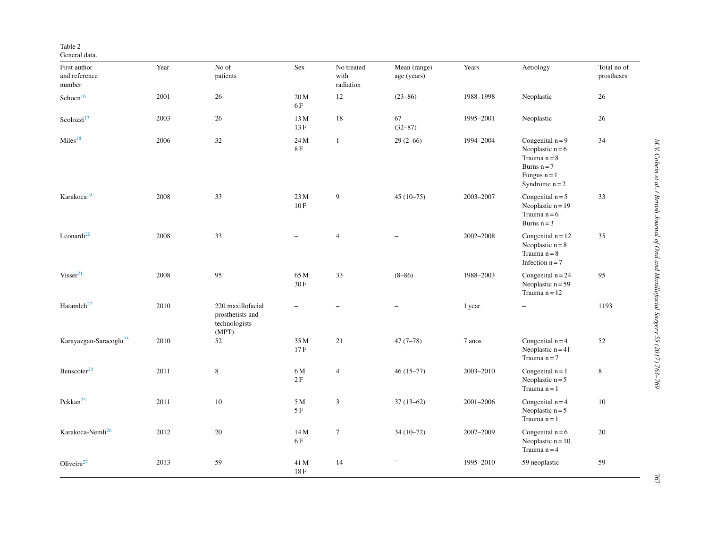#### <span id="page-6-0"></span>Table 2

| First author<br>and reference<br>number | Year | No of<br>patients                                               | Sex                      | No treated<br>with<br>radiation | Mean (range)<br>age (years) | Years         | Aetiology                                                                                                         | Total no of<br>prostheses |
|-----------------------------------------|------|-----------------------------------------------------------------|--------------------------|---------------------------------|-----------------------------|---------------|-------------------------------------------------------------------------------------------------------------------|---------------------------|
| Schoen <sup>16</sup>                    | 2001 | $26\,$                                                          | 20 M<br>6F               | 12                              | $(23 - 86)$                 | 1988-1998     | Neoplastic                                                                                                        | $26\,$                    |
| Scolozzi <sup>17</sup>                  | 2003 | 26                                                              | 13 M<br>$13 F$           | 18                              | 67<br>$(32 - 87)$           | 1995-2001     | Neoplastic                                                                                                        | 26                        |
| Miles <sup>18</sup>                     | 2006 | $32\,$                                                          | 24 M<br>$8\,\mathrm{F}$  | 1                               | $29(2-66)$                  | 1994-2004     | Congenital $n = 9$<br>Neoplastic $n = 6$<br>Trauma $n = 8$<br>Burns $n = 7$<br>Fungus $n = 1$<br>Syndrome $n = 2$ | 34                        |
| Karakoca <sup>19</sup>                  | 2008 | 33                                                              | 23 M<br>10F              | 9                               | $45(10-75)$                 | 2003-2007     | Congenital $n = 5$<br>Neoplastic $n = 19$<br>Trauma $n = 6$<br>Burns $n = 3$                                      | 33                        |
| Leonardi $^{20}$                        | 2008 | 33                                                              | $\overline{\phantom{0}}$ | $\overline{4}$                  |                             | $2002 - 2008$ | Congenital $n = 12$<br>Neoplastic $n = 8$<br>Trauma $n = 8$<br>Infection $n = 7$                                  | 35                        |
| Visser <sup>21</sup>                    | 2008 | 95                                                              | 65 M<br>30F              | 33                              | $(8 - 86)$                  | 1988-2003     | Congenital $n = 24$<br>Neoplastic $n = 59$<br>Trauma $n = 12$                                                     | 95                        |
| Hatamleh <sup>22</sup>                  | 2010 | 220 maxillofacial<br>prosthetists and<br>technologists<br>(MPT) |                          |                                 |                             | 1 year        |                                                                                                                   | 1193                      |
| Karayazgan-Saracoglu <sup>23</sup>      | 2010 | 52                                                              | 35 M<br>17F              | 21                              | $47(7-78)$                  | 7 anos        | Congenital $n = 4$<br>Neoplastic $n = 41$<br>Trauma $n = 7$                                                       | 52                        |
| Benscoter <sup>24</sup>                 | 2011 | $\,$ 8 $\,$                                                     | 6M<br>2F                 | $\overline{4}$                  | $46(15-77)$                 | 2003-2010     | Congenital $n = 1$<br>Neoplastic $n = 5$<br>Trauma $n = 1$                                                        | 8                         |
| Pekkan <sup>25</sup>                    | 2011 | $10\,$                                                          | 5 M<br>5F                | 3                               | $37(13-62)$                 | 2001-2006     | Congenital $n = 4$<br>Neoplastic $n = 5$<br>Trauma $n = 1$                                                        | 10                        |
| Karakoca-Nemli <sup>26</sup>            | 2012 | $20\,$                                                          | 14 M<br>6F               | $\tau$                          | $34(10-72)$                 | 2007-2009     | Congenital $n = 6$<br>Neoplastic $n = 10$<br>Trauma $n = 4$                                                       | 20                        |
| Oliveira $27$                           | 2013 | 59                                                              | 41 M<br>$18\,\mathrm{F}$ | 14                              |                             | 1995-2010     | 59 neoplastic                                                                                                     | 59                        |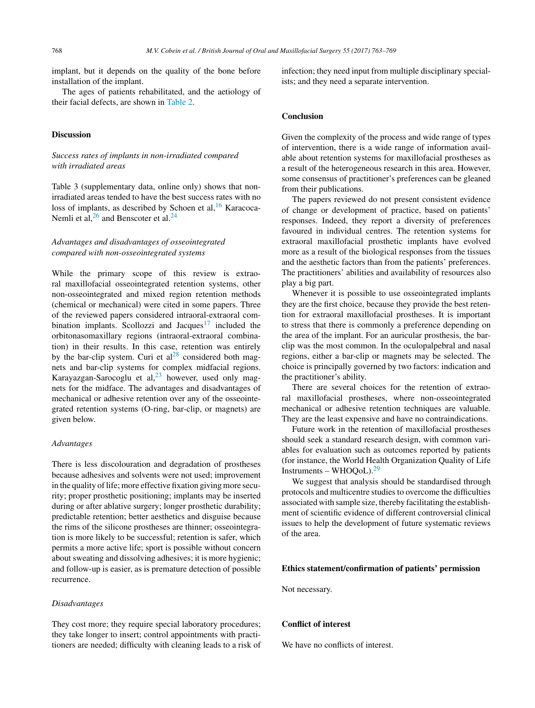implant, but it depends on the quality of the bone before installation of the implant.

The ages of patients rehabilitated, and the aetiology of their facial defects, are shown in [Table](#page-6-0) 2.

#### **Discussion**

#### *Success rates of implants in non-irradiated compared with irradiated areas*

Table 3 (supplementary data, online only) shows that nonirradiated areas tended to have the best success rates with no loss of implants, as described by Schoen et al,<sup>[16](#page-8-0)</sup> Karacoca-Nemli et al,  $26$  and Benscoter et al.  $24$ 

#### *Advantages and disadvantages of osseointegrated compared with non-osseointegrated systems*

While the primary scope of this review is extraoral maxillofacial osseointegrated retention systems, other non-osseointegrated and mixed region retention methods (chemical or mechanical) were cited in some papers. Three of the reviewed papers considered intraoral-extraoral com-bination implants. Scollozzi and Jacques<sup>[17](#page-8-0)</sup> included the orbitonasomaxillary regions (intraoral-extraoral combination) in their results. In this case, retention was entirely by the bar-clip system. Curi et  $al^{28}$  $al^{28}$  $al^{28}$  considered both magnets and bar-clip systems for complex midfacial regions. Karayazgan-Sarocoglu et al, $^{23}$  $^{23}$  $^{23}$  however, used only magnets for the midface. The advantages and disadvantages of mechanical or adhesive retention over any of the osseointegrated retention systems (O-ring, bar-clip, or magnets) are given below.

#### *Advantages*

There is less discolouration and degradation of prostheses because adhesives and solvents were not used; improvement in the quality of life; more effective fixation giving more security; proper prosthetic positioning; implants may be inserted during or after ablative surgery; longer prosthetic durability; predictable retention; better aesthetics and disguise because the rims of the silicone prostheses are thinner; osseointegration is more likely to be successful; retention is safer, which permits a more active life; sport is possible without concern about sweating and dissolving adhesives; it is more hygienic; and follow-up is easier, as is premature detection of possible recurrence.

#### *Disadvantages*

They cost more; they require special laboratory procedures; they take longer to insert; control appointments with practitioners are needed; difficulty with cleaning leads to a risk of infection; they need input from multiple disciplinary specialists; and they need a separate intervention.

#### **Conclusion**

Given the complexity of the process and wide range of types of intervention, there is a wide range of information available about retention systems for maxillofacial prostheses as a result of the heterogeneous research in this area. However, some consensus of practitioner's preferences can be gleaned from their publications.

The papers reviewed do not present consistent evidence of change or development of practice, based on patients' responses. Indeed, they report a diversity of preferences favoured in individual centres. The retention systems for extraoral maxillofacial prosthetic implants have evolved more as a result of the biological responses from the tissues and the aesthetic factors than from the patients' preferences. The practitioners' abilities and availability of resources also play a big part.

Whenever it is possible to use osseointegrated implants they are the first choice, because they provide the best retention for extraoral maxillofacial prostheses. It is important to stress that there is commonly a preference depending on the area of the implant. For an auricular prosthesis, the barclip was the most common. In the oculopalpebral and nasal regions, either a bar-clip or magnets may be selected. The choice is principally governed by two factors: indication and the practitioner's ability.

There are several choices for the retention of extraoral maxillofacial prostheses, where non-osseointegrated mechanical or adhesive retention techniques are valuable. They are the least expensive and have no contraindications.

Future work in the retention of maxillofacial prostheses should seek a standard research design, with common variables for evaluation such as outcomes reported by patients (for instance, the World Health Organization Quality of Life Instruments – WHOQoL). $29$ 

We suggest that analysis should be standardised through protocols and multicentre studies to overcome the difficulties associated with sample size, thereby facilitating the establishment of scientific evidence of different controversial clinical issues to help the development of future systematic reviews of the area.

#### **Ethics statement/confirmation of patients' permission**

Not necessary.

#### **Conflict of interest**

We have no conflicts of interest.